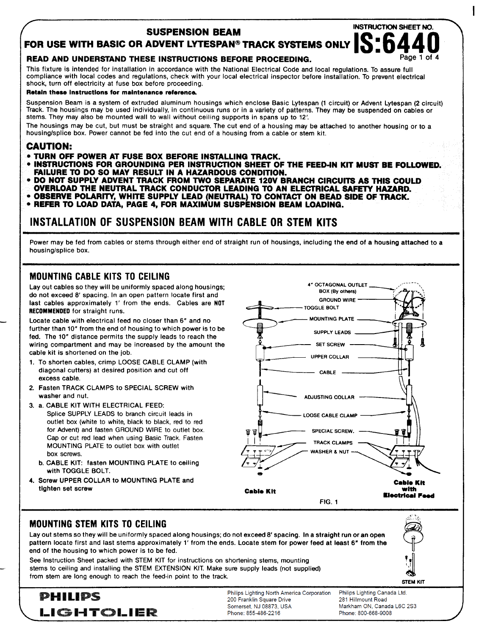#### **SUSPENSION BEAM**

**FOR USE WITH BASIC OR ADVENT LYTESPAN® TRACK SYSTEMS ONLY <b>AND TRACE OF ALC**<br>READ AND UNDERSTAND THESE INSTRUCTIONS REFORE PROCEEDING

#### **READ AND UNDERSTAND THESE INSTRUCTIONS BEFORE PROCEEDING.**

This fixture is intended for installation in accordance with the National Electrical Code and local regulations. **TO assure** full compliance with local codes and regulations, check with your local electrical inspector before installation. To prevent electrical shock, turn off electricity at fuse box before proceeding.

#### **Retain** these instructions for maintenance rafaranca.

Suspension Beam is a system of extruded aluminum housings which enclose Basic Lytespan (1 circuit) or Advent Lytespan (2 circuit) Track. The housings may be used individually, in continuous runs or in a variety of patterns. They may be suspended on cables or stems. They may also be mounted wall to wall without ceiling supports in spans up to 12'.

The housings may be cut, but must be straight and square. The cut end of a housing may be attached to another housing or to a housing/splice box. Power cannot be fed into the cut end of a housing from a cable or stem kit.

#### **CAUTION:**

- **TURN OFF POWER AT FUSE BOX BEFORE INSTALLING TRACK.**
- **QINSTRUCTIONS FOR GROUNDING PER INSTRUCTION SHEET OF THE FEED-IN KIT MUST BE FOLLOWED. FAIIAJRElU DO SO MAY RESULT IN A HAZARDOUS CONDITION.**
- **DO** NOT SUPPLY ADVENT TRACK FROM TWO SEPARATE 120V BRANCH CIRCUITS AS THIS COULD
- **OVERLOAD THE NEUTRAL TRACK CONDUCTOR LEADING TO AN ELECTRICAL SAFETY HAZARD.** ● **OBSERVE POLARITY, WHITE SUPPLY LEAD (NEUTRAL) lQ CONTACT ON B@ADSIDE OF TRACK.**
- **REFER TO LOAD DATA, PAGE 4, FOR MAXIMUM SUSPENSION BEAM LOADING.**

## **INSTALLATION OF SUSPENSION BEAM WITH CABLE OR STEM KITS**

Power may be fed from cables or stems through either end of straight run of housings, including the end of a housing attached to a housing/splice box.

### MOUNTING CABLE KITS TO CEILING

Lay out cables so they will be uniformly spaced along housings; **4' OCTAGONAL OUTLET** do not exceed 8' spacing. In an open pattern locate first and last cables approximately 1' from the ends. Cables are NOT RECOMMENDED for straight runs.

Locate cable with electrical feed no closer than 6" and no **100 WILLIAM AND MOUNTING PLATE** further than 10" from the end of housing to which power is to be fed. The 10" distance permits the supply leads to reach the wiring compartment and may be increased by the amount the cable kit is shortened on the job.

- diagonal cutters) at desired position and cut off  $CAB$ excess cable.
- 2. Fasten TRACK CLAMPS to SPECIAL SCREW with **ADJUSTING COLLAR ADJUSTING COLLAR** *ADJUSTING* **COLLAR**
- 3. a. CABLE KiT WITH ELECTRICAL FEED:
- Splice SUPPLY LEADS to branch circuit leads in outlet box (white to white, black to black, red to red for Advent) and fasten GROUND WIRE to outlet box. Cap or cut red lead when using Basic Track, Fasten MOUNTING PLATE to outlet box with outlet box screws.
- b. CABLE KIT: fasten MOUNTING PLATE to ceiling with TOGGLE BOLT.
- 



#### **MOUNTING STEM KITS TO CEILING**

Lay out stems so they will be uniformly spaced along housings; do not exceed 8' spacing. In a straight run or an open pattern locate first and last stems approximately 1' from the ends. Locate stem for power feed at least 6" from the end of the housing to which power is to be fed.

See Instruction Sheet packed with STEM KIT for instructions on shortening stems, mounting stems to ceiling and installing the STEM EXTENSION KIT. Make sure supply leads (not supplied) from stem are long enough to reach the feed-in point to the track.



**STEM KIT**



—-

Philips Lighting North America Corporation 200 Franklin Square Drive Somerset NJ 08873 USA

Philips Lighting Canada Ltd. 281 Hillmount Road Markham ON, Canada L6C 2S3 Phone: 800-668-9008

**I**

-

INSTRUCTION SHEET NO.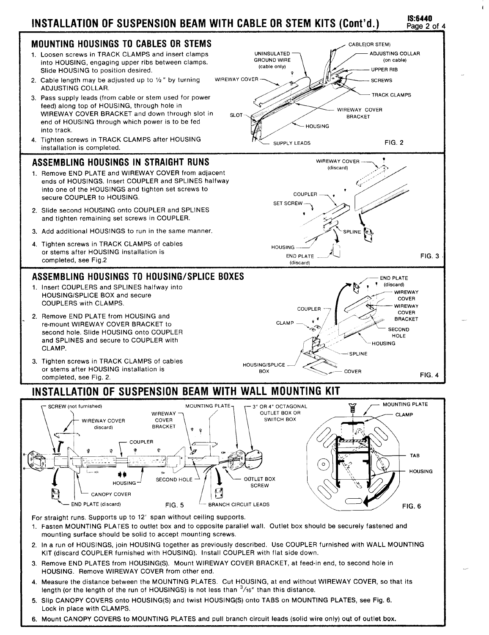# **INSTALLATION OF SUSPENSION BEAM WITH CABLE OR STEM KITS (Cent'd.) 1S:6440**



..

—.

..-

**v**

**/**

FIG. 6



For straight runs. Supports up to 12' span without ceiling supports.

CANOPY COVER

**END PLATE** (discard) FIG. 5 L BRANCH CIRCUIT LEADS

- 1. Fasten MOUNTING PLATES to outlet box and to opposite parallel wall. Outlet box should be securely fastened and mounting surface should be solid to accept mounting screws.
- 2. In a run of HOUSINGS, join HOUSING together as previously described. Use COUPLER furnished with WALL MOUNTING KIT (discard COUPLER furnished with HOUSING). Install COUPLER with flat side down.
- 3. Remove END PLATES from HOUSING(S). Mount WI REWAY COVER BRACKET, at feed-in end, to second hole in HOUSING. Remove WIREWAY COVER from other end.
- 4. Measure the distance between the MOUNTING PLATES. Cut HOUSING, at end without WIREWAY COVER, so that its length (or the length of the run of HOUSINGS) is not less than **3/16"** than this distance.
- 5. Slip CANOPY COVERS onto HOUSING(S) and twist HOUSING(S) onto TABS on MOUNTING PLATES, see Fig. 6. Lock in place with CLAMPS.
- 6. Mount CANOPY COVERS to MOUNTING PLATES and pull branch circuit leads (solid wire only) out of outlet box.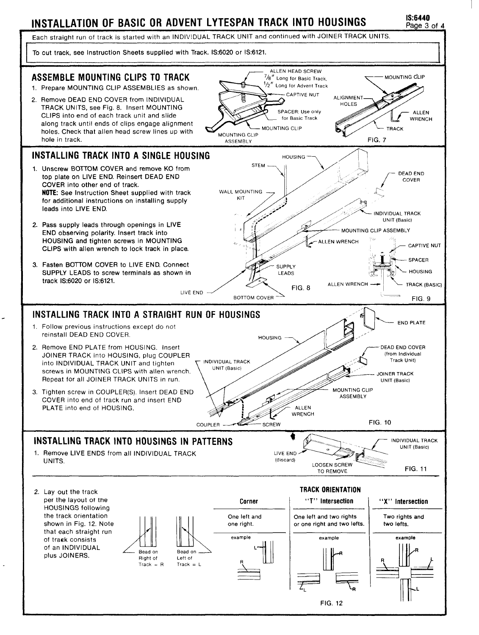# **INSTALLATION OF BASIC OR ADVENT LYTESPAN TRACK INTO HOUSINGS 1S:6440**

Page 3 of 4

Each straight run of track is started with an INDIVIDUAL TRACK UNIT and continued with JOINER TRACK UNITS.

To cut track, see Instruction Sheets supplied with Track. 1S:6020 or 1S:6121.